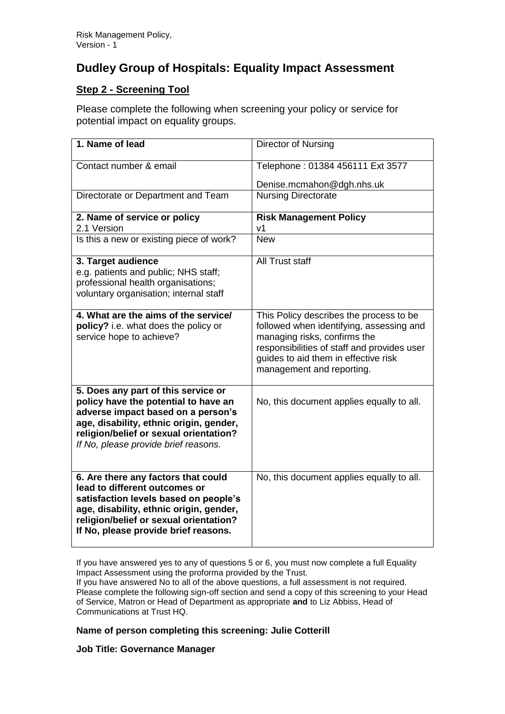# **Dudley Group of Hospitals: Equality Impact Assessment**

## **Step 2 - Screening Tool**

Please complete the following when screening your policy or service for potential impact on equality groups.

| 1. Name of lead                                                                                                                                                                                                                                | Director of Nursing                                                                                                                                                                                                                     |
|------------------------------------------------------------------------------------------------------------------------------------------------------------------------------------------------------------------------------------------------|-----------------------------------------------------------------------------------------------------------------------------------------------------------------------------------------------------------------------------------------|
| Contact number & email                                                                                                                                                                                                                         | Telephone: 01384 456111 Ext 3577                                                                                                                                                                                                        |
|                                                                                                                                                                                                                                                | Denise.mcmahon@dgh.nhs.uk                                                                                                                                                                                                               |
| Directorate or Department and Team                                                                                                                                                                                                             | <b>Nursing Directorate</b>                                                                                                                                                                                                              |
| 2. Name of service or policy                                                                                                                                                                                                                   | <b>Risk Management Policy</b>                                                                                                                                                                                                           |
| 2.1 Version                                                                                                                                                                                                                                    | V <sub>1</sub>                                                                                                                                                                                                                          |
| Is this a new or existing piece of work?                                                                                                                                                                                                       | <b>New</b>                                                                                                                                                                                                                              |
| 3. Target audience<br>e.g. patients and public; NHS staff;<br>professional health organisations;<br>voluntary organisation; internal staff                                                                                                     | <b>All Trust staff</b>                                                                                                                                                                                                                  |
| 4. What are the aims of the service/<br>policy? i.e. what does the policy or<br>service hope to achieve?                                                                                                                                       | This Policy describes the process to be<br>followed when identifying, assessing and<br>managing risks, confirms the<br>responsibilities of staff and provides user<br>guides to aid them in effective risk<br>management and reporting. |
| 5. Does any part of this service or<br>policy have the potential to have an<br>adverse impact based on a person's<br>age, disability, ethnic origin, gender,<br>religion/belief or sexual orientation?<br>If No, please provide brief reasons. | No, this document applies equally to all.                                                                                                                                                                                               |
| 6. Are there any factors that could<br>lead to different outcomes or<br>satisfaction levels based on people's<br>age, disability, ethnic origin, gender,<br>religion/belief or sexual orientation?<br>If No, please provide brief reasons.     | No, this document applies equally to all.                                                                                                                                                                                               |

If you have answered yes to any of questions 5 or 6, you must now complete a full Equality Impact Assessment using the proforma provided by the Trust.

If you have answered No to all of the above questions, a full assessment is not required. Please complete the following sign-off section and send a copy of this screening to your Head of Service, Matron or Head of Department as appropriate **and** to Liz Abbiss, Head of Communications at Trust HQ.

#### **Name of person completing this screening: Julie Cotterill**

**Job Title: Governance Manager**